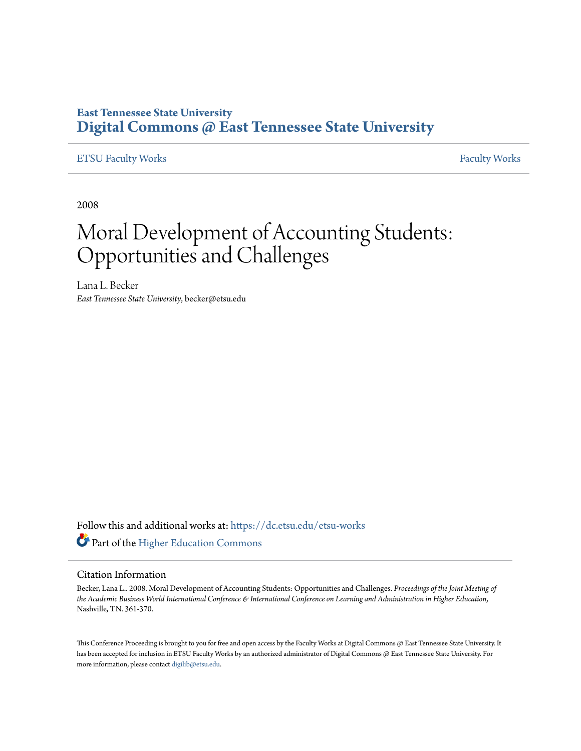# **East Tennessee State University [Digital Commons @ East Tennessee State University](https://dc.etsu.edu?utm_source=dc.etsu.edu%2Fetsu-works%2F3012&utm_medium=PDF&utm_campaign=PDFCoverPages)**

### [ETSU Faculty Works](https://dc.etsu.edu/etsu-works?utm_source=dc.etsu.edu%2Fetsu-works%2F3012&utm_medium=PDF&utm_campaign=PDFCoverPages) [Faculty Works](https://dc.etsu.edu/faculty-works?utm_source=dc.etsu.edu%2Fetsu-works%2F3012&utm_medium=PDF&utm_campaign=PDFCoverPages) Faculty Works

2008

# Moral Development of Accounting Students: Opportunities and Challenges

Lana L. Becker *East Tennessee State University*, becker@etsu.edu

Follow this and additional works at: [https://dc.etsu.edu/etsu-works](https://dc.etsu.edu/etsu-works?utm_source=dc.etsu.edu%2Fetsu-works%2F3012&utm_medium=PDF&utm_campaign=PDFCoverPages) Part of the [Higher Education Commons](http://network.bepress.com/hgg/discipline/1245?utm_source=dc.etsu.edu%2Fetsu-works%2F3012&utm_medium=PDF&utm_campaign=PDFCoverPages)

#### Citation Information

Becker, Lana L.. 2008. Moral Development of Accounting Students: Opportunities and Challenges. *Proceedings of the Joint Meeting of the Academic Business World International Conference & International Conference on Learning and Administration in Higher Education*, Nashville, TN. 361-370.

This Conference Proceeding is brought to you for free and open access by the Faculty Works at Digital Commons @ East Tennessee State University. It has been accepted for inclusion in ETSU Faculty Works by an authorized administrator of Digital Commons @ East Tennessee State University. For more information, please contact [digilib@etsu.edu.](mailto:digilib@etsu.edu)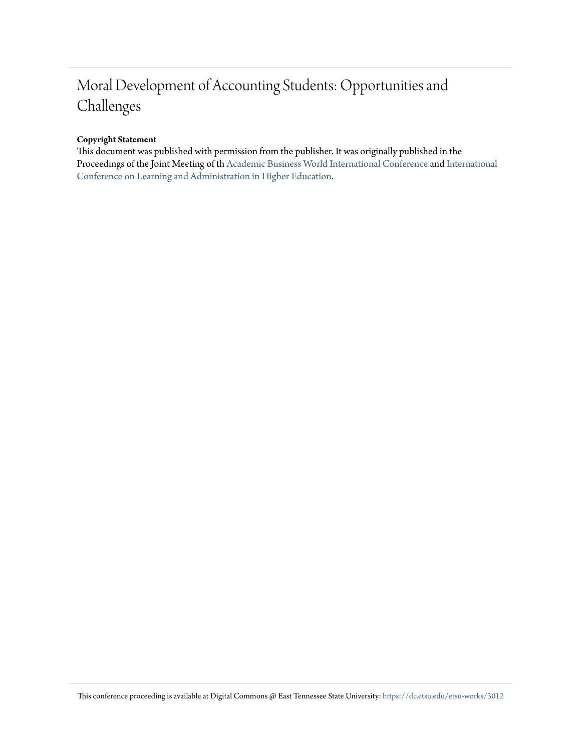# Moral Development of Accounting Students: Opportunities and Challenges

#### **Copyright Statement**

This document was published with permission from the publisher. It was originally published in the Proceedings of the Joint Meeting of th [Academic Business World International Conference](http://abwic.org/) and [International](http://iclahe.org/) [Conference on Learning and Administration in Higher Education](http://iclahe.org/).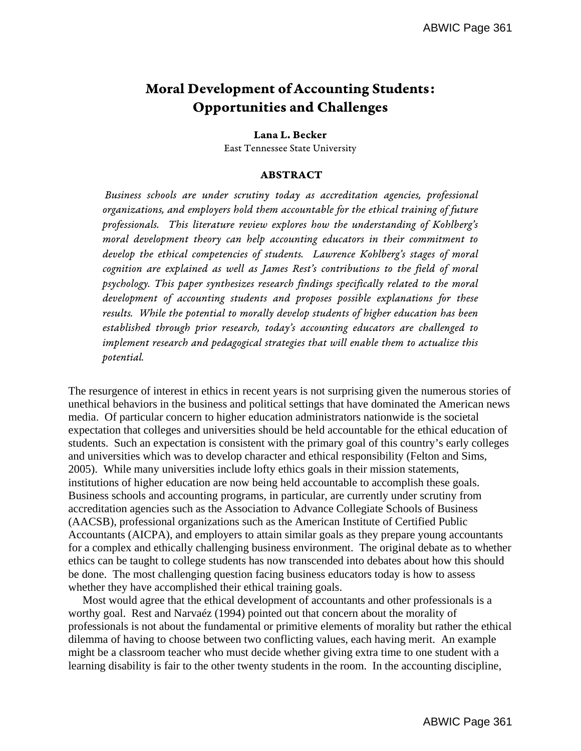# Moral Development of Accounting Students: Opportunities and Challenges

#### Lana L. Becker

East Tennessee State University

#### ABSTRACT

 Business schools are under scrutiny today as accreditation agencies, professional organizations, and employers hold them accountable for the ethical training of future professionals. This literature review explores how the understanding of Kohlberg's moral development theory can help accounting educators in their commitment to develop the ethical competencies of students. Lawrence Kohlberg's stages of moral cognition are explained as well as James Rest's contributions to the field of moral psychology. This paper synthesizes research findings specifically related to the moral development of accounting students and proposes possible explanations for these results. While the potential to morally develop students of higher education has been established through prior research, today's accounting educators are challenged to implement research and pedagogical strategies that will enable them to actualize this potential.

The resurgence of interest in ethics in recent years is not surprising given the numerous stories of unethical behaviors in the business and political settings that have dominated the American news media. Of particular concern to higher education administrators nationwide is the societal expectation that colleges and universities should be held accountable for the ethical education of students. Such an expectation is consistent with the primary goal of this country's early colleges and universities which was to develop character and ethical responsibility (Felton and Sims, 2005). While many universities include lofty ethics goals in their mission statements, institutions of higher education are now being held accountable to accomplish these goals. Business schools and accounting programs, in particular, are currently under scrutiny from accreditation agencies such as the Association to Advance Collegiate Schools of Business (AACSB), professional organizations such as the American Institute of Certified Public Accountants (AICPA), and employers to attain similar goals as they prepare young accountants for a complex and ethically challenging business environment. The original debate as to whether ethics can be taught to college students has now transcended into debates about how this should be done. The most challenging question facing business educators today is how to assess whether they have accomplished their ethical training goals.

 Most would agree that the ethical development of accountants and other professionals is a worthy goal. Rest and Narvaéz (1994) pointed out that concern about the morality of professionals is not about the fundamental or primitive elements of morality but rather the ethical dilemma of having to choose between two conflicting values, each having merit. An example might be a classroom teacher who must decide whether giving extra time to one student with a learning disability is fair to the other twenty students in the room. In the accounting discipline,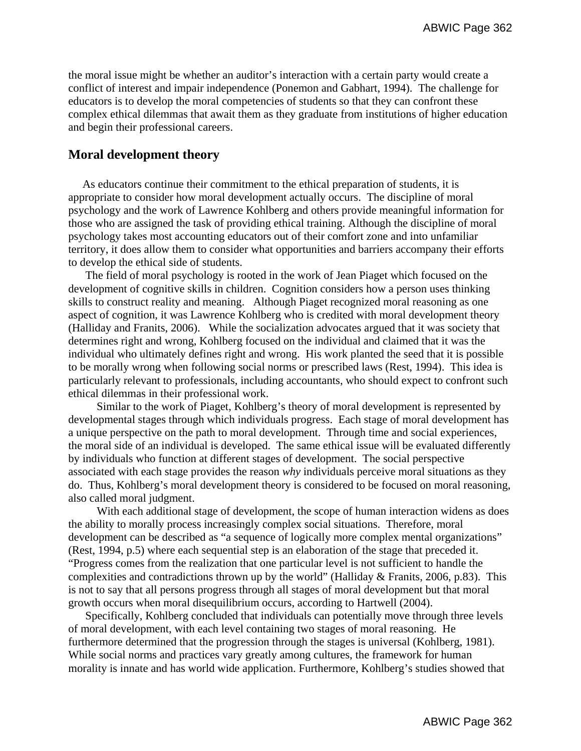the moral issue might be whether an auditor's interaction with a certain party would create a conflict of interest and impair independence (Ponemon and Gabhart, 1994). The challenge for educators is to develop the moral competencies of students so that they can confront these complex ethical dilemmas that await them as they graduate from institutions of higher education and begin their professional careers.

# **Moral development theory**

 As educators continue their commitment to the ethical preparation of students, it is appropriate to consider how moral development actually occurs. The discipline of moral psychology and the work of Lawrence Kohlberg and others provide meaningful information for those who are assigned the task of providing ethical training. Although the discipline of moral psychology takes most accounting educators out of their comfort zone and into unfamiliar territory, it does allow them to consider what opportunities and barriers accompany their efforts to develop the ethical side of students.

 The field of moral psychology is rooted in the work of Jean Piaget which focused on the development of cognitive skills in children. Cognition considers how a person uses thinking skills to construct reality and meaning. Although Piaget recognized moral reasoning as one aspect of cognition, it was Lawrence Kohlberg who is credited with moral development theory (Halliday and Franits, 2006). While the socialization advocates argued that it was society that determines right and wrong, Kohlberg focused on the individual and claimed that it was the individual who ultimately defines right and wrong. His work planted the seed that it is possible to be morally wrong when following social norms or prescribed laws (Rest, 1994). This idea is particularly relevant to professionals, including accountants, who should expect to confront such ethical dilemmas in their professional work.

 Similar to the work of Piaget, Kohlberg's theory of moral development is represented by developmental stages through which individuals progress. Each stage of moral development has a unique perspective on the path to moral development. Through time and social experiences, the moral side of an individual is developed. The same ethical issue will be evaluated differently by individuals who function at different stages of development. The social perspective associated with each stage provides the reason *why* individuals perceive moral situations as they do. Thus, Kohlberg's moral development theory is considered to be focused on moral reasoning, also called moral judgment.

 With each additional stage of development, the scope of human interaction widens as does the ability to morally process increasingly complex social situations. Therefore, moral development can be described as "a sequence of logically more complex mental organizations" (Rest, 1994, p.5) where each sequential step is an elaboration of the stage that preceded it. "Progress comes from the realization that one particular level is not sufficient to handle the complexities and contradictions thrown up by the world" (Halliday & Franits, 2006, p.83). This is not to say that all persons progress through all stages of moral development but that moral growth occurs when moral disequilibrium occurs, according to Hartwell (2004).

 Specifically, Kohlberg concluded that individuals can potentially move through three levels of moral development, with each level containing two stages of moral reasoning. He furthermore determined that the progression through the stages is universal (Kohlberg, 1981). While social norms and practices vary greatly among cultures, the framework for human morality is innate and has world wide application. Furthermore, Kohlberg's studies showed that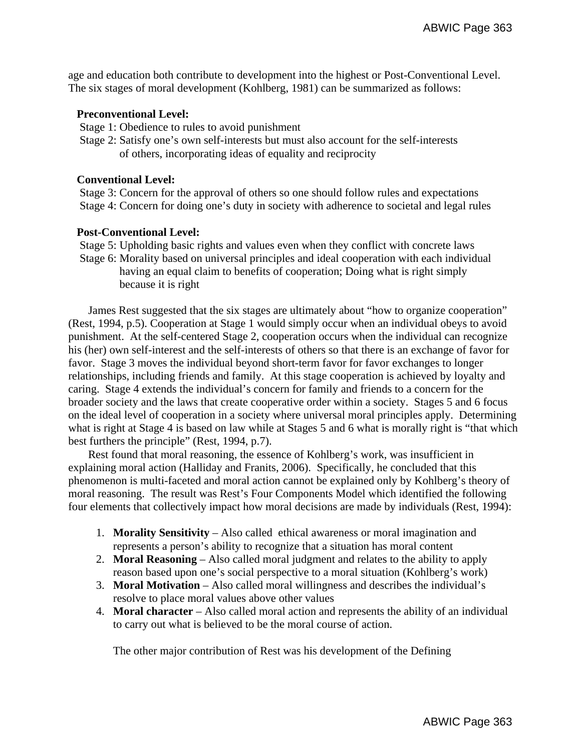age and education both contribute to development into the highest or Post-Conventional Level. The six stages of moral development (Kohlberg, 1981) can be summarized as follows:

#### **Preconventional Level:**

- Stage 1: Obedience to rules to avoid punishment
- Stage 2: Satisfy one's own self-interests but must also account for the self-interests of others, incorporating ideas of equality and reciprocity

### **Conventional Level:**

 Stage 3: Concern for the approval of others so one should follow rules and expectations Stage 4: Concern for doing one's duty in society with adherence to societal and legal rules

## **Post-Conventional Level:**

 Stage 5: Upholding basic rights and values even when they conflict with concrete laws Stage 6: Morality based on universal principles and ideal cooperation with each individual having an equal claim to benefits of cooperation; Doing what is right simply because it is right

 James Rest suggested that the six stages are ultimately about "how to organize cooperation" (Rest, 1994, p.5). Cooperation at Stage 1 would simply occur when an individual obeys to avoid punishment. At the self-centered Stage 2, cooperation occurs when the individual can recognize his (her) own self-interest and the self-interests of others so that there is an exchange of favor for favor. Stage 3 moves the individual beyond short-term favor for favor exchanges to longer relationships, including friends and family. At this stage cooperation is achieved by loyalty and caring. Stage 4 extends the individual's concern for family and friends to a concern for the broader society and the laws that create cooperative order within a society. Stages 5 and 6 focus on the ideal level of cooperation in a society where universal moral principles apply. Determining what is right at Stage 4 is based on law while at Stages 5 and 6 what is morally right is "that which best furthers the principle" (Rest, 1994, p.7).

 Rest found that moral reasoning, the essence of Kohlberg's work, was insufficient in explaining moral action (Halliday and Franits, 2006). Specifically, he concluded that this phenomenon is multi-faceted and moral action cannot be explained only by Kohlberg's theory of moral reasoning. The result was Rest's Four Components Model which identified the following four elements that collectively impact how moral decisions are made by individuals (Rest, 1994):

- 1. **Morality Sensitivity** Also called ethical awareness or moral imagination and represents a person's ability to recognize that a situation has moral content
- 2. **Moral Reasoning** Also called moral judgment and relates to the ability to apply reason based upon one's social perspective to a moral situation (Kohlberg's work)
- 3. **Moral Motivation**  Also called moral willingness and describes the individual's resolve to place moral values above other values
- 4. **Moral character** Also called moral action and represents the ability of an individual to carry out what is believed to be the moral course of action.

The other major contribution of Rest was his development of the Defining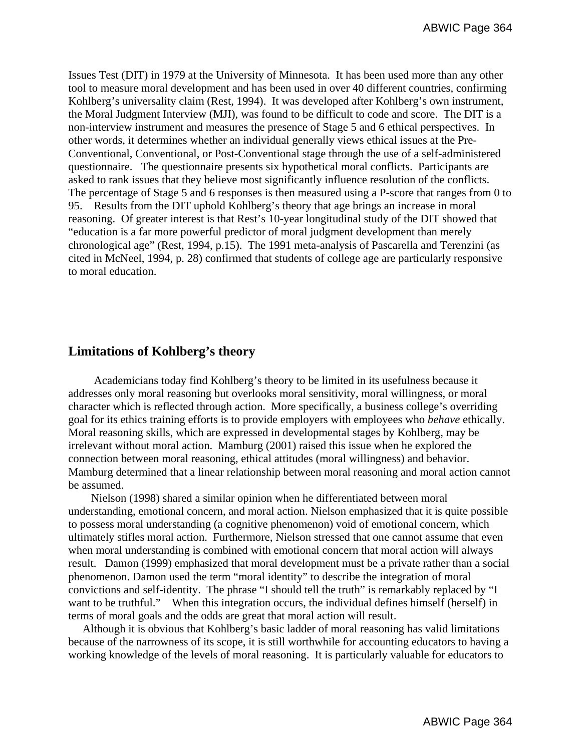Issues Test (DIT) in 1979 at the University of Minnesota. It has been used more than any other tool to measure moral development and has been used in over 40 different countries, confirming Kohlberg's universality claim (Rest, 1994). It was developed after Kohlberg's own instrument, the Moral Judgment Interview (MJI), was found to be difficult to code and score. The DIT is a non-interview instrument and measures the presence of Stage 5 and 6 ethical perspectives. In other words, it determines whether an individual generally views ethical issues at the Pre-Conventional, Conventional, or Post-Conventional stage through the use of a self-administered questionnaire. The questionnaire presents six hypothetical moral conflicts. Participants are asked to rank issues that they believe most significantly influence resolution of the conflicts. The percentage of Stage 5 and 6 responses is then measured using a P-score that ranges from 0 to 95. Results from the DIT uphold Kohlberg's theory that age brings an increase in moral reasoning. Of greater interest is that Rest's 10-year longitudinal study of the DIT showed that "education is a far more powerful predictor of moral judgment development than merely chronological age" (Rest, 1994, p.15). The 1991 meta-analysis of Pascarella and Terenzini (as cited in McNeel, 1994, p. 28) confirmed that students of college age are particularly responsive to moral education.

# **Limitations of Kohlberg's theory**

 Academicians today find Kohlberg's theory to be limited in its usefulness because it addresses only moral reasoning but overlooks moral sensitivity, moral willingness, or moral character which is reflected through action. More specifically, a business college's overriding goal for its ethics training efforts is to provide employers with employees who *behave* ethically. Moral reasoning skills, which are expressed in developmental stages by Kohlberg, may be irrelevant without moral action. Mamburg (2001) raised this issue when he explored the connection between moral reasoning, ethical attitudes (moral willingness) and behavior. Mamburg determined that a linear relationship between moral reasoning and moral action cannot be assumed.

 Nielson (1998) shared a similar opinion when he differentiated between moral understanding, emotional concern, and moral action. Nielson emphasized that it is quite possible to possess moral understanding (a cognitive phenomenon) void of emotional concern, which ultimately stifles moral action. Furthermore, Nielson stressed that one cannot assume that even when moral understanding is combined with emotional concern that moral action will always result. Damon (1999) emphasized that moral development must be a private rather than a social phenomenon. Damon used the term "moral identity" to describe the integration of moral convictions and self-identity. The phrase "I should tell the truth" is remarkably replaced by "I want to be truthful." When this integration occurs, the individual defines himself (herself) in terms of moral goals and the odds are great that moral action will result.

 Although it is obvious that Kohlberg's basic ladder of moral reasoning has valid limitations because of the narrowness of its scope, it is still worthwhile for accounting educators to having a working knowledge of the levels of moral reasoning. It is particularly valuable for educators to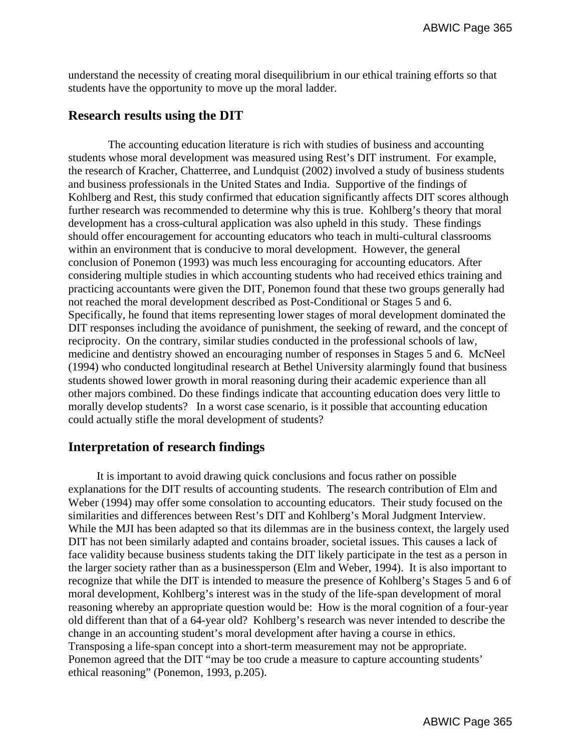understand the necessity of creating moral disequilibrium in our ethical training efforts so that students have the opportunity to move up the moral ladder.

# **Research results using the DIT**

 The accounting education literature is rich with studies of business and accounting students whose moral development was measured using Rest's DIT instrument. For example, the research of Kracher, Chatterree, and Lundquist (2002) involved a study of business students and business professionals in the United States and India. Supportive of the findings of Kohlberg and Rest, this study confirmed that education significantly affects DIT scores although further research was recommended to determine why this is true. Kohlberg's theory that moral development has a cross-cultural application was also upheld in this study. These findings should offer encouragement for accounting educators who teach in multi-cultural classrooms within an environment that is conducive to moral development. However, the general conclusion of Ponemon (1993) was much less encouraging for accounting educators. After considering multiple studies in which accounting students who had received ethics training and practicing accountants were given the DIT, Ponemon found that these two groups generally had not reached the moral development described as Post-Conditional or Stages 5 and 6. Specifically, he found that items representing lower stages of moral development dominated the DIT responses including the avoidance of punishment, the seeking of reward, and the concept of reciprocity. On the contrary, similar studies conducted in the professional schools of law, medicine and dentistry showed an encouraging number of responses in Stages 5 and 6. McNeel (1994) who conducted longitudinal research at Bethel University alarmingly found that business students showed lower growth in moral reasoning during their academic experience than all other majors combined. Do these findings indicate that accounting education does very little to morally develop students? In a worst case scenario, is it possible that accounting education could actually stifle the moral development of students?

# **Interpretation of research findings**

 It is important to avoid drawing quick conclusions and focus rather on possible explanations for the DIT results of accounting students. The research contribution of Elm and Weber (1994) may offer some consolation to accounting educators. Their study focused on the similarities and differences between Rest's DIT and Kohlberg's Moral Judgment Interview. While the MJI has been adapted so that its dilemmas are in the business context, the largely used DIT has not been similarly adapted and contains broader, societal issues. This causes a lack of face validity because business students taking the DIT likely participate in the test as a person in the larger society rather than as a businessperson (Elm and Weber, 1994). It is also important to recognize that while the DIT is intended to measure the presence of Kohlberg's Stages 5 and 6 of moral development, Kohlberg's interest was in the study of the life-span development of moral reasoning whereby an appropriate question would be: How is the moral cognition of a four-year old different than that of a 64-year old? Kohlberg's research was never intended to describe the change in an accounting student's moral development after having a course in ethics. Transposing a life-span concept into a short-term measurement may not be appropriate. Ponemon agreed that the DIT "may be too crude a measure to capture accounting students' ethical reasoning" (Ponemon, 1993, p.205).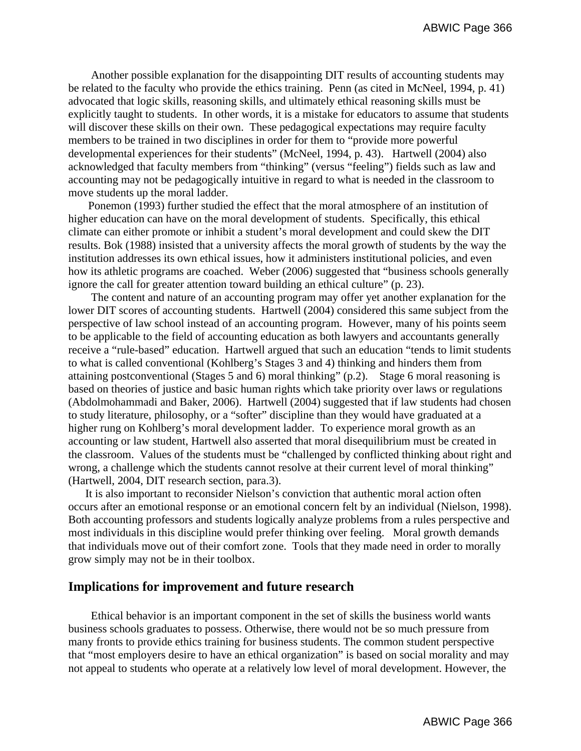Another possible explanation for the disappointing DIT results of accounting students may be related to the faculty who provide the ethics training. Penn (as cited in McNeel, 1994, p. 41) advocated that logic skills, reasoning skills, and ultimately ethical reasoning skills must be explicitly taught to students. In other words, it is a mistake for educators to assume that students will discover these skills on their own. These pedagogical expectations may require faculty members to be trained in two disciplines in order for them to "provide more powerful developmental experiences for their students" (McNeel, 1994, p. 43). Hartwell (2004) also acknowledged that faculty members from "thinking" (versus "feeling") fields such as law and accounting may not be pedagogically intuitive in regard to what is needed in the classroom to move students up the moral ladder.

 Ponemon (1993) further studied the effect that the moral atmosphere of an institution of higher education can have on the moral development of students. Specifically, this ethical climate can either promote or inhibit a student's moral development and could skew the DIT results. Bok (1988) insisted that a university affects the moral growth of students by the way the institution addresses its own ethical issues, how it administers institutional policies, and even how its athletic programs are coached. Weber (2006) suggested that "business schools generally ignore the call for greater attention toward building an ethical culture" (p. 23).

 The content and nature of an accounting program may offer yet another explanation for the lower DIT scores of accounting students. Hartwell (2004) considered this same subject from the perspective of law school instead of an accounting program. However, many of his points seem to be applicable to the field of accounting education as both lawyers and accountants generally receive a "rule-based" education. Hartwell argued that such an education "tends to limit students to what is called conventional (Kohlberg's Stages 3 and 4) thinking and hinders them from attaining postconventional (Stages 5 and 6) moral thinking" (p.2). Stage 6 moral reasoning is based on theories of justice and basic human rights which take priority over laws or regulations (Abdolmohammadi and Baker, 2006). Hartwell (2004) suggested that if law students had chosen to study literature, philosophy, or a "softer" discipline than they would have graduated at a higher rung on Kohlberg's moral development ladder. To experience moral growth as an accounting or law student, Hartwell also asserted that moral disequilibrium must be created in the classroom. Values of the students must be "challenged by conflicted thinking about right and wrong, a challenge which the students cannot resolve at their current level of moral thinking" (Hartwell, 2004, DIT research section, para.3).

 It is also important to reconsider Nielson's conviction that authentic moral action often occurs after an emotional response or an emotional concern felt by an individual (Nielson, 1998). Both accounting professors and students logically analyze problems from a rules perspective and most individuals in this discipline would prefer thinking over feeling. Moral growth demands that individuals move out of their comfort zone. Tools that they made need in order to morally grow simply may not be in their toolbox.

#### **Implications for improvement and future research**

 Ethical behavior is an important component in the set of skills the business world wants business schools graduates to possess. Otherwise, there would not be so much pressure from many fronts to provide ethics training for business students. The common student perspective that "most employers desire to have an ethical organization" is based on social morality and may not appeal to students who operate at a relatively low level of moral development. However, the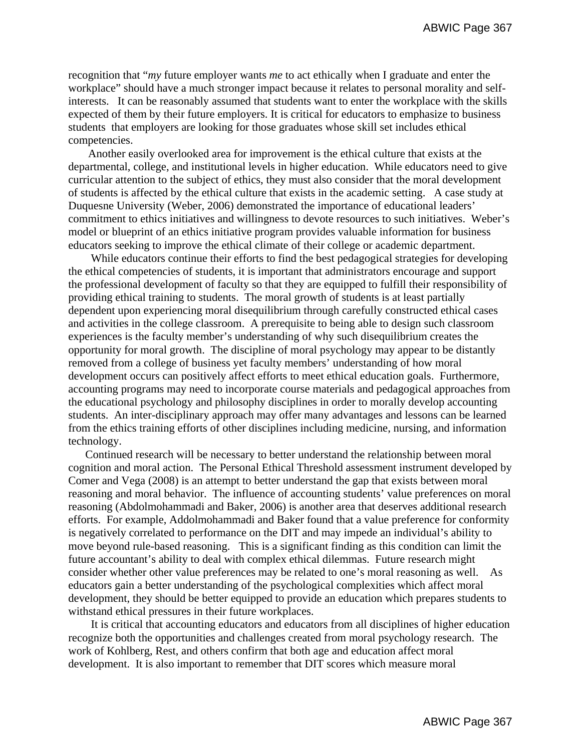recognition that "*my* future employer wants *me* to act ethically when I graduate and enter the workplace" should have a much stronger impact because it relates to personal morality and selfinterests. It can be reasonably assumed that students want to enter the workplace with the skills expected of them by their future employers. It is critical for educators to emphasize to business students that employers are looking for those graduates whose skill set includes ethical competencies.

 Another easily overlooked area for improvement is the ethical culture that exists at the departmental, college, and institutional levels in higher education. While educators need to give curricular attention to the subject of ethics, they must also consider that the moral development of students is affected by the ethical culture that exists in the academic setting. A case study at Duquesne University (Weber, 2006) demonstrated the importance of educational leaders' commitment to ethics initiatives and willingness to devote resources to such initiatives. Weber's model or blueprint of an ethics initiative program provides valuable information for business educators seeking to improve the ethical climate of their college or academic department.

 While educators continue their efforts to find the best pedagogical strategies for developing the ethical competencies of students, it is important that administrators encourage and support the professional development of faculty so that they are equipped to fulfill their responsibility of providing ethical training to students. The moral growth of students is at least partially dependent upon experiencing moral disequilibrium through carefully constructed ethical cases and activities in the college classroom. A prerequisite to being able to design such classroom experiences is the faculty member's understanding of why such disequilibrium creates the opportunity for moral growth. The discipline of moral psychology may appear to be distantly removed from a college of business yet faculty members' understanding of how moral development occurs can positively affect efforts to meet ethical education goals. Furthermore, accounting programs may need to incorporate course materials and pedagogical approaches from the educational psychology and philosophy disciplines in order to morally develop accounting students. An inter-disciplinary approach may offer many advantages and lessons can be learned from the ethics training efforts of other disciplines including medicine, nursing, and information technology.

 Continued research will be necessary to better understand the relationship between moral cognition and moral action. The Personal Ethical Threshold assessment instrument developed by Comer and Vega (2008) is an attempt to better understand the gap that exists between moral reasoning and moral behavior. The influence of accounting students' value preferences on moral reasoning (Abdolmohammadi and Baker, 2006) is another area that deserves additional research efforts. For example, Addolmohammadi and Baker found that a value preference for conformity is negatively correlated to performance on the DIT and may impede an individual's ability to move beyond rule-based reasoning. This is a significant finding as this condition can limit the future accountant's ability to deal with complex ethical dilemmas. Future research might consider whether other value preferences may be related to one's moral reasoning as well. As educators gain a better understanding of the psychological complexities which affect moral development, they should be better equipped to provide an education which prepares students to withstand ethical pressures in their future workplaces.

 It is critical that accounting educators and educators from all disciplines of higher education recognize both the opportunities and challenges created from moral psychology research. The work of Kohlberg, Rest, and others confirm that both age and education affect moral development. It is also important to remember that DIT scores which measure moral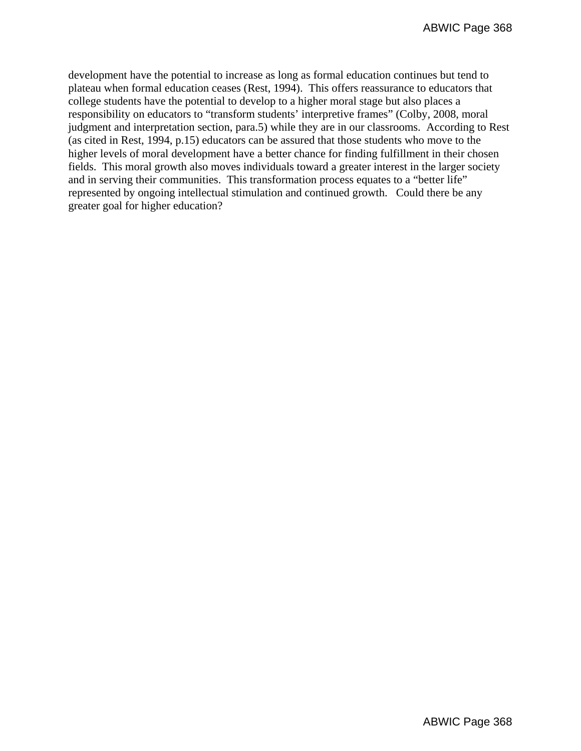development have the potential to increase as long as formal education continues but tend to plateau when formal education ceases (Rest, 1994). This offers reassurance to educators that college students have the potential to develop to a higher moral stage but also places a responsibility on educators to "transform students' interpretive frames" (Colby, 2008, moral judgment and interpretation section, para.5) while they are in our classrooms. According to Rest (as cited in Rest, 1994, p.15) educators can be assured that those students who move to the higher levels of moral development have a better chance for finding fulfillment in their chosen fields. This moral growth also moves individuals toward a greater interest in the larger society and in serving their communities. This transformation process equates to a "better life" represented by ongoing intellectual stimulation and continued growth. Could there be any greater goal for higher education?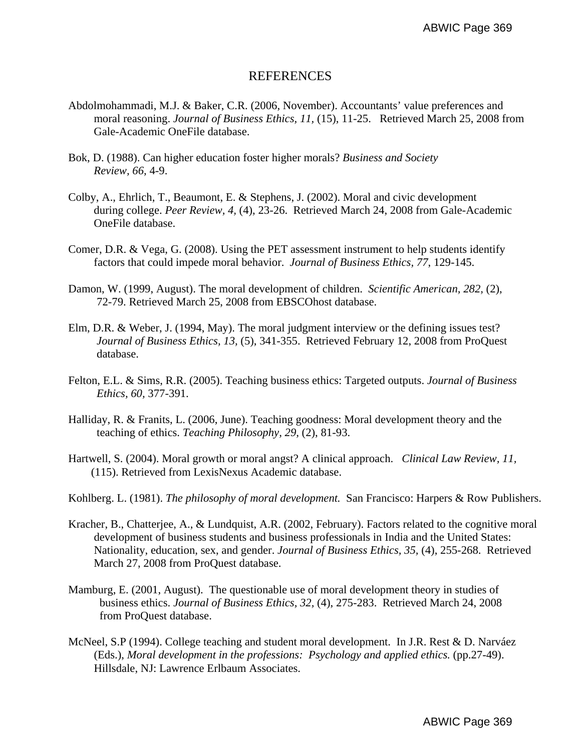# REFERENCES

- Abdolmohammadi, M.J. & Baker, C.R. (2006, November). Accountants' value preferences and moral reasoning. *Journal of Business Ethics, 11,* (15), 11-25. Retrieved March 25, 2008 from Gale-Academic OneFile database.
- Bok, D. (1988). Can higher education foster higher morals? *Business and Society Review, 66,* 4-9.
- Colby, A., Ehrlich, T., Beaumont, E. & Stephens, J. (2002). Moral and civic development during college. *Peer Review, 4,* (4), 23-26. Retrieved March 24, 2008 from Gale-Academic OneFile database.
- Comer, D.R. & Vega, G. (2008). Using the PET assessment instrument to help students identify factors that could impede moral behavior. *Journal of Business Ethics, 77*, 129-145.
- Damon, W. (1999, August). The moral development of children. *Scientific American, 282,* (2), 72-79. Retrieved March 25, 2008 from EBSCOhost database.
- Elm, D.R. & Weber, J. (1994, May). The moral judgment interview or the defining issues test? *Journal of Business Ethics, 13,* (5), 341-355. Retrieved February 12, 2008 from ProQuest database.
- Felton, E.L. & Sims, R.R. (2005). Teaching business ethics: Targeted outputs. *Journal of Business Ethics, 60,* 377-391.
- Halliday, R. & Franits, L. (2006, June). Teaching goodness: Moral development theory and the teaching of ethics. *Teaching Philosophy, 29,* (2), 81-93.
- Hartwell, S. (2004). Moral growth or moral angst? A clinical approach. *Clinical Law Review, 11,* (115). Retrieved from LexisNexus Academic database.

Kohlberg. L. (1981). *The philosophy of moral development.* San Francisco: Harpers & Row Publishers.

- Kracher, B., Chatterjee, A., & Lundquist, A.R. (2002, February). Factors related to the cognitive moral development of business students and business professionals in India and the United States: Nationality, education, sex, and gender. *Journal of Business Ethics, 35,* (4), 255-268. Retrieved March 27, 2008 from ProQuest database.
- Mamburg, E. (2001, August). The questionable use of moral development theory in studies of business ethics. *Journal of Business Ethics, 32,* (4), 275-283. Retrieved March 24, 2008 from ProQuest database.
- McNeel, S.P (1994). College teaching and student moral development. In J.R. Rest & D. Narváez (Eds.), *Moral development in the professions: Psychology and applied ethics.* (pp.27-49). Hillsdale, NJ: Lawrence Erlbaum Associates.